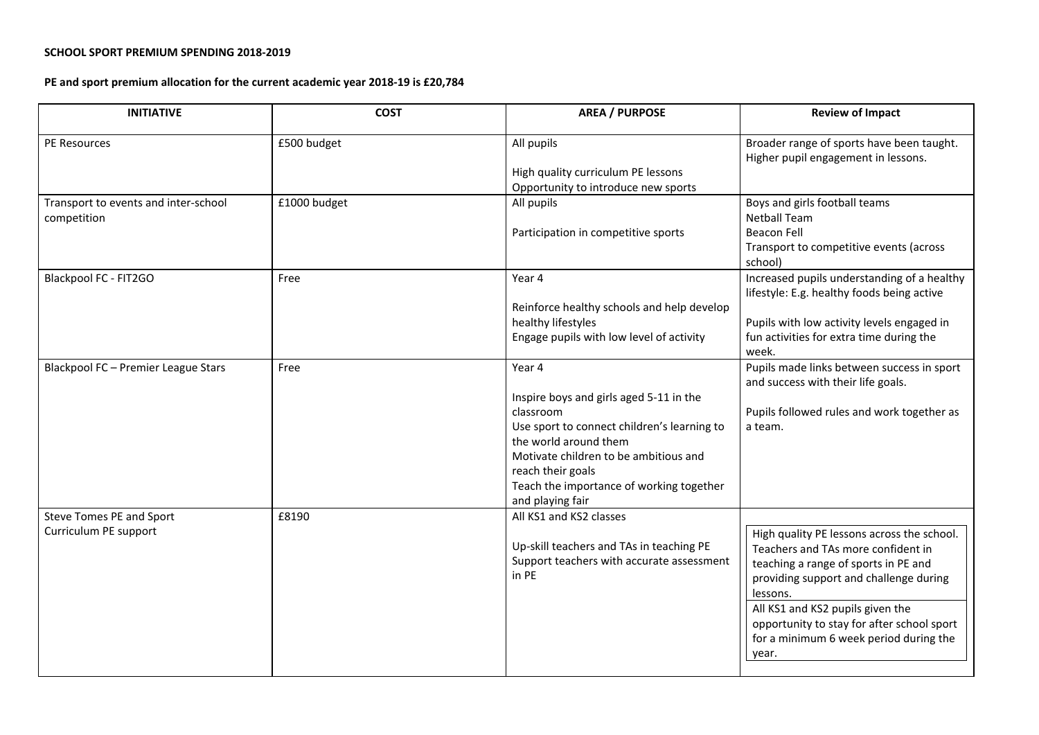## **SCHOOL SPORT PREMIUM SPENDING 2018-2019**

## **PE and sport premium allocation for the current academic year 2018-19 is £20,784**

| <b>INITIATIVE</b>                                   | <b>COST</b>  | <b>AREA / PURPOSE</b>                                                                                                                                                                                                                                                | <b>Review of Impact</b>                                                                                                                                                                                                                                                                                             |
|-----------------------------------------------------|--------------|----------------------------------------------------------------------------------------------------------------------------------------------------------------------------------------------------------------------------------------------------------------------|---------------------------------------------------------------------------------------------------------------------------------------------------------------------------------------------------------------------------------------------------------------------------------------------------------------------|
| PE Resources                                        | £500 budget  | All pupils<br>High quality curriculum PE lessons                                                                                                                                                                                                                     | Broader range of sports have been taught.<br>Higher pupil engagement in lessons.                                                                                                                                                                                                                                    |
| Transport to events and inter-school<br>competition | £1000 budget | Opportunity to introduce new sports<br>All pupils<br>Participation in competitive sports                                                                                                                                                                             | Boys and girls football teams<br><b>Netball Team</b><br><b>Beacon Fell</b><br>Transport to competitive events (across<br>school)                                                                                                                                                                                    |
| Blackpool FC - FIT2GO                               | Free         | Year 4<br>Reinforce healthy schools and help develop<br>healthy lifestyles<br>Engage pupils with low level of activity                                                                                                                                               | Increased pupils understanding of a healthy<br>lifestyle: E.g. healthy foods being active<br>Pupils with low activity levels engaged in<br>fun activities for extra time during the<br>week.                                                                                                                        |
| Blackpool FC - Premier League Stars                 | Free         | Year 4<br>Inspire boys and girls aged 5-11 in the<br>classroom<br>Use sport to connect children's learning to<br>the world around them<br>Motivate children to be ambitious and<br>reach their goals<br>Teach the importance of working together<br>and playing fair | Pupils made links between success in sport<br>and success with their life goals.<br>Pupils followed rules and work together as<br>a team.                                                                                                                                                                           |
| Steve Tomes PE and Sport<br>Curriculum PE support   | £8190        | All KS1 and KS2 classes<br>Up-skill teachers and TAs in teaching PE<br>Support teachers with accurate assessment<br>in PE                                                                                                                                            | High quality PE lessons across the school.<br>Teachers and TAs more confident in<br>teaching a range of sports in PE and<br>providing support and challenge during<br>lessons.<br>All KS1 and KS2 pupils given the<br>opportunity to stay for after school sport<br>for a minimum 6 week period during the<br>year. |